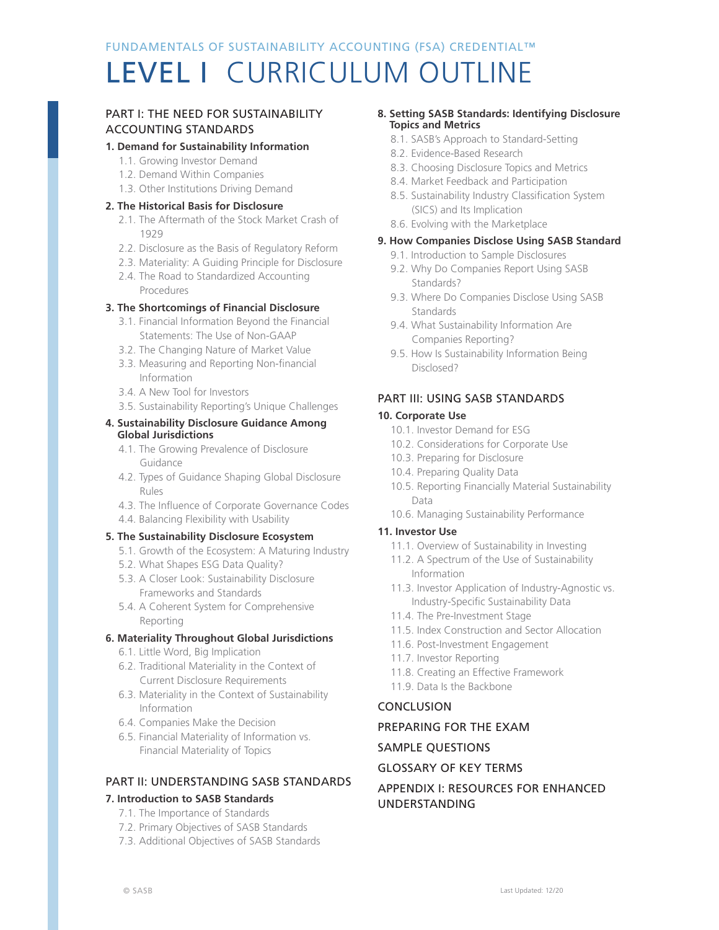# LEVEL I CURRICULUM OUTLINE

### PART I: THE NEED FOR SUSTAINABILITY ACCOUNTING STANDARDS

## **1. Demand for Sustainability Information**

- 1.1. Growing Investor Demand
- 1.2. Demand Within Companies
- 1.3. Other Institutions Driving Demand

### **2. The Historical Basis for Disclosure**

- 2.1. The Aftermath of the Stock Market Crash of 1929
- 2.2. Disclosure as the Basis of Regulatory Reform
- 2.3. Materiality: A Guiding Principle for Disclosure
- 2.4. The Road to Standardized Accounting Procedures

### **3. The Shortcomings of Financial Disclosure**

- 3.1. Financial Information Beyond the Financial Statements: The Use of Non-GAAP
- 3.2. The Changing Nature of Market Value
- 3.3. Measuring and Reporting Non-financial Information
- 3.4. A New Tool for Investors
- 3.5. Sustainability Reporting's Unique Challenges

#### **4. Sustainability Disclosure Guidance Among Global Jurisdictions**

- 4.1. The Growing Prevalence of Disclosure Guidance
- 4.2. Types of Guidance Shaping Global Disclosure Rules
- 4.3. The Influence of Corporate Governance Codes
- 4.4. Balancing Flexibility with Usability

### **5. The Sustainability Disclosure Ecosystem**

- 5.1. Growth of the Ecosystem: A Maturing Industry
- 5.2. What Shapes ESG Data Quality?
- 5.3. A Closer Look: Sustainability Disclosure Frameworks and Standards
- 5.4. A Coherent System for Comprehensive Reporting

### **6. Materiality Throughout Global Jurisdictions**

- 6.1. Little Word, Big Implication
- 6.2. Traditional Materiality in the Context of Current Disclosure Requirements
- 6.3. Materiality in the Context of Sustainability Information
- 6.4. Companies Make the Decision
- 6.5. Financial Materiality of Information vs. Financial Materiality of Topics

## PART II: UNDERSTANDING SASB STANDARDS

### **7. Introduction to SASB Standards**

- 7.1. The Importance of Standards
- 7.2. Primary Objectives of SASB Standards
- 7.3. Additional Objectives of SASB Standards

#### **8. Setting SASB Standards: Identifying Disclosure Topics and Metrics**

- 8.1. SASB's Approach to Standard-Setting
- 8.2. Evidence-Based Research
- 8.3. Choosing Disclosure Topics and Metrics
- 8.4. Market Feedback and Participation
- 8.5. Sustainability Industry Classification System (SICS) and Its Implication
- 8.6. Evolving with the Marketplace

### **9. How Companies Disclose Using SASB Standard**

- 9.1. Introduction to Sample Disclosures
- 9.2. Why Do Companies Report Using SASB Standards?
- 9.3. Where Do Companies Disclose Using SASB Standards
- 9.4. What Sustainability Information Are Companies Reporting?
- 9.5. How Is Sustainability Information Being Disclosed?

### PART III: USING SASB STANDARDS

### **10. Corporate Use**

- 10.1. Investor Demand for ESG
- 10.2. Considerations for Corporate Use
- 10.3. Preparing for Disclosure
- 10.4. Preparing Quality Data
- 10.5. Reporting Financially Material Sustainability Data
- 10.6. Managing Sustainability Performance

### **11. Investor Use**

- 11.1. Overview of Sustainability in Investing
- 11.2. A Spectrum of the Use of Sustainability Information
- 11.3. Investor Application of Industry-Agnostic vs. Industry-Specific Sustainability Data
- 11.4. The Pre-Investment Stage
- 11.5. Index Construction and Sector Allocation
- 11.6. Post-Investment Engagement
- 11.7. Investor Reporting
- 11.8. Creating an Effective Framework
- 11.9. Data Is the Backbone

### CONCLUSION

### PREPARING FOR THE EXAM

### SAMPLE QUESTIONS

## GLOSSARY OF KEY TERMS

### APPENDIX I: RESOURCES FOR ENHANCED UNDERSTANDING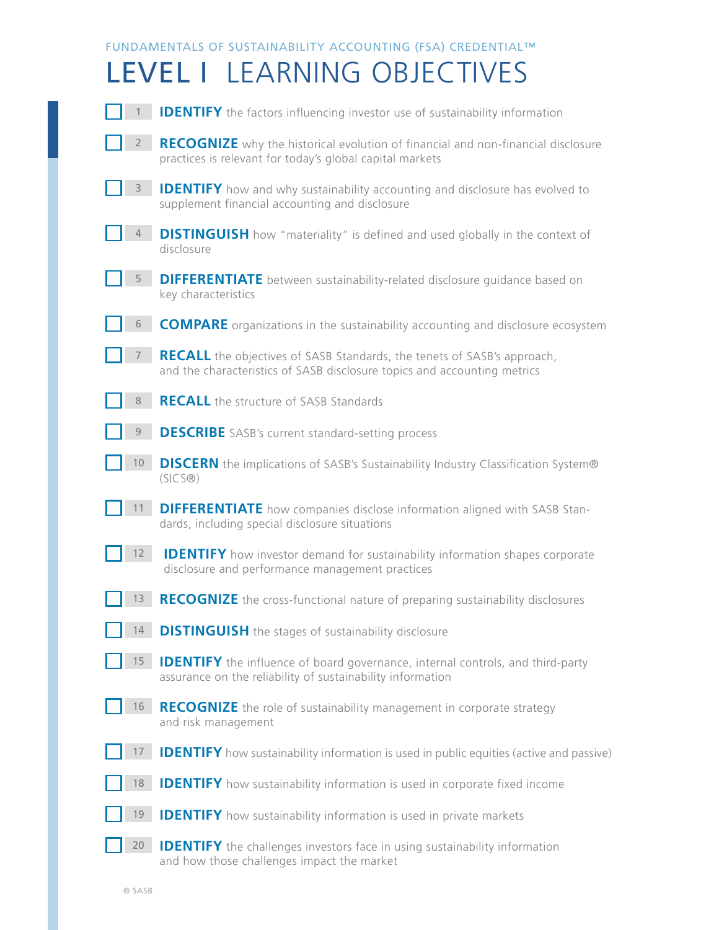|              | FUNDAMENTALS OF SUSTAINABILITY ACCOUNTING (FSA) CREDENTIAL™                                                                                                |
|--------------|------------------------------------------------------------------------------------------------------------------------------------------------------------|
|              | LEVEL I LEARNING OBJECTIVES                                                                                                                                |
|              | <b>IDENTIFY</b> the factors influencing investor use of sustainability information                                                                         |
| $\mathbf{2}$ | <b>RECOGNIZE</b> why the historical evolution of financial and non-financial disclosure<br>practices is relevant for today's global capital markets        |
| 3            | <b>IDENTIFY</b> how and why sustainability accounting and disclosure has evolved to<br>supplement financial accounting and disclosure                      |
|              | <b>DISTINGUISH</b> how "materiality" is defined and used globally in the context of<br>disclosure                                                          |
| 5            | <b>DIFFERENTIATE</b> between sustainability-related disclosure quidance based on<br>key characteristics                                                    |
| 6            | <b>COMPARE</b> organizations in the sustainability accounting and disclosure ecosystem                                                                     |
|              | <b>RECALL</b> the objectives of SASB Standards, the tenets of SASB's approach,<br>and the characteristics of SASB disclosure topics and accounting metrics |
| 8            | <b>RECALL</b> the structure of SASB Standards                                                                                                              |
| 9            | <b>DESCRIBE</b> SASB's current standard-setting process                                                                                                    |
| $10-10$      | <b>DISCERN</b> the implications of SASB's Sustainability Industry Classification System®<br>(SICS@)                                                        |
| 11           | <b>DIFFERENTIATE</b> how companies disclose information aligned with SASB Stan-<br>dards, including special disclosure situations                          |
| 12           | <b>IDENTIFY</b> how investor demand for sustainability information shapes corporate<br>disclosure and performance management practices                     |
| 13           | RECOGNIZE the cross-functional nature of preparing sustainability disclosures                                                                              |
| 14           | <b>DISTINGUISH</b> the stages of sustainability disclosure                                                                                                 |
| 15           | <b>IDENTIFY</b> the influence of board governance, internal controls, and third-party<br>assurance on the reliability of sustainability information        |
| 16           | <b>RECOGNIZE</b> the role of sustainability management in corporate strategy<br>and risk management                                                        |
| 17           | <b>IDENTIFY</b> how sustainability information is used in public equities (active and passive)                                                             |
| 18           | <b>IDENTIFY</b> how sustainability information is used in corporate fixed income                                                                           |
| 19           | <b>IDENTIFY</b> how sustainability information is used in private markets                                                                                  |
| 20           | <b>IDENTIFY</b> the challenges investors face in using sustainability information<br>and how those challenges impact the market                            |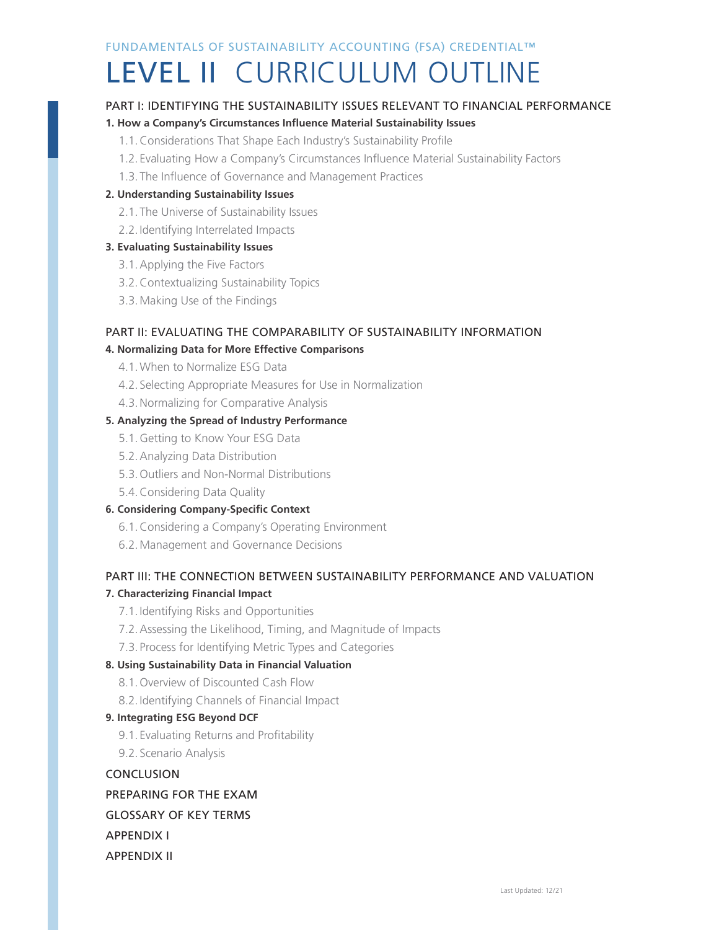# LEVEL II CURRICULUM OUTLINE

# PART I: IDENTIFYING THE SUSTAINABILITY ISSUES RELEVANT TO FINANCIAL PERFORMANCE

## **1. How a Company's Circumstances Influence Material Sustainability Issues**

- 1.1.Considerations That Shape Each Industry's Sustainability Profile
- 1.2. Evaluating How a Company's Circumstances Influence Material Sustainability Factors
- 1.3. The Influence of Governance and Management Practices

### **2. Understanding Sustainability Issues**

- 2.1. The Universe of Sustainability Issues
- 2.2.Identifying Interrelated Impacts

### **3. Evaluating Sustainability Issues**

- 3.1.Applying the Five Factors
- 3.2.Contextualizing Sustainability Topics
- 3.3.Making Use of the Findings

# PART II: EVALUATING THE COMPARABILITY OF SUSTAINABILITY INFORMATION

### **4. Normalizing Data for More Effective Comparisons**

- 4.1.When to Normalize ESG Data
- 4.2. Selecting Appropriate Measures for Use in Normalization
- 4.3.Normalizing for Comparative Analysis

### **5. Analyzing the Spread of Industry Performance**

- 5.1.Getting to Know Your ESG Data
- 5.2.Analyzing Data Distribution
- 5.3.Outliers and Non-Normal Distributions
- 5.4.Considering Data Quality

### **6. Considering Company-Specific Context**

- 6.1.Considering a Company's Operating Environment
- 6.2.Management and Governance Decisions

## PART III: THE CONNECTION BETWEEN SUSTAINABILITY PERFORMANCE AND VALUATION **7. Characterizing Financial Impact**

- 7.1.Identifying Risks and Opportunities
- 7.2.Assessing the Likelihood, Timing, and Magnitude of Impacts
- 7.3. Process for Identifying Metric Types and Categories

### **8. Using Sustainability Data in Financial Valuation**

- 8.1.Overview of Discounted Cash Flow
- 8.2.Identifying Channels of Financial Impact

### **9. Integrating ESG Beyond DCF**

- 9.1. Evaluating Returns and Profitability
- 9.2. Scenario Analysis

## **CONCLUSION**

# PREPARING FOR THE EXAM

## GLOSSARY OF KEY TERMS

# APPENDIX I

## APPENDIX II